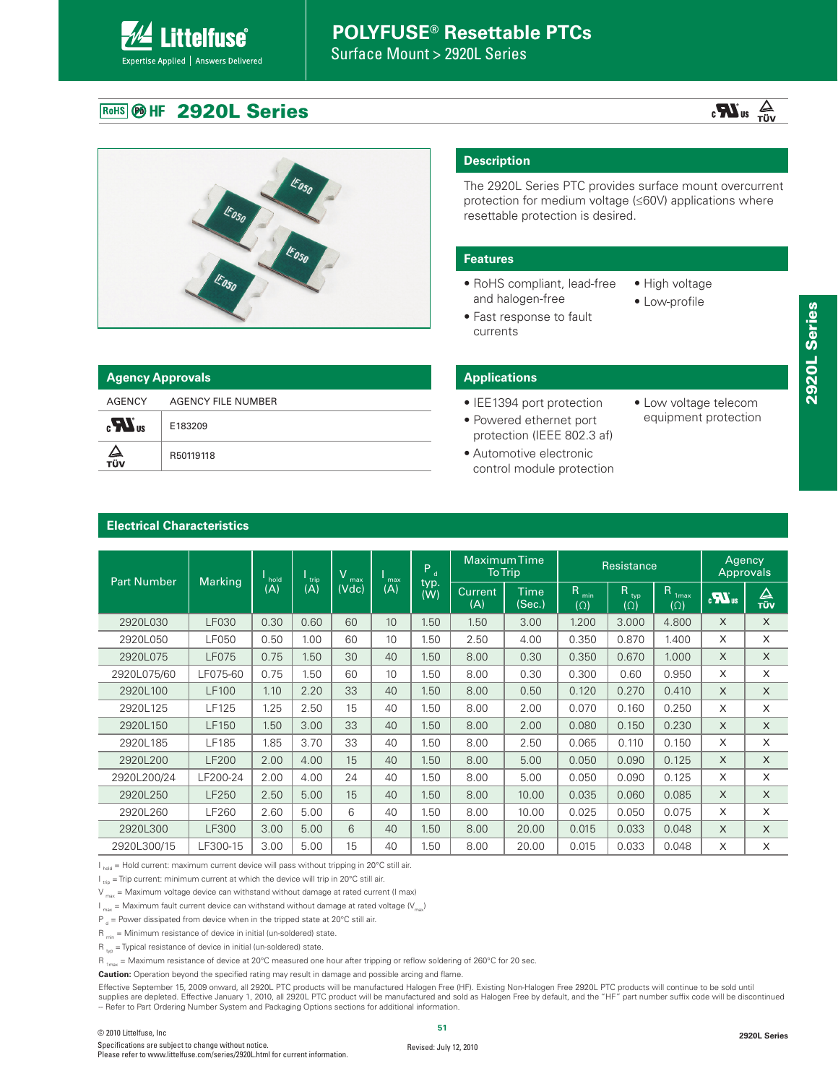Surface Mount > 2920L Series

### **ROHS @ HF 2920L Series**

**Littelfuse**®

Expertise Applied | Answers Delivered

| <b>Agency Approvals</b>                 |                    |  |  |  |  |  |  |  |  |
|-----------------------------------------|--------------------|--|--|--|--|--|--|--|--|
| AGENCY                                  | AGENCY FILE NUMBER |  |  |  |  |  |  |  |  |
| $\mathbf{c}$ $\mathbf{W}$ <sub>us</sub> | E183209            |  |  |  |  |  |  |  |  |
| ∠⊾<br>тüv                               | R50119118          |  |  |  |  |  |  |  |  |

#### **Description**

The 2920L Series PTC provides surface mount overcurrent protection for medium voltage (≤60V) applications where resettable protection is desired.

#### **Features**

- RoHS compliant, lead-free and halogen-free
	-
- High voltage
- 
- 
- Fast response to fault currents
- Low-profile
- 
- 
- 
- 

|      | <b>ncy Approvals</b> |  |  |  |  |  |  |  |  |  |
|------|----------------------|--|--|--|--|--|--|--|--|--|
| IСY  | AGENCY FILE NUMBER   |  |  |  |  |  |  |  |  |  |
| I US | E183209              |  |  |  |  |  |  |  |  |  |
|      | R50119118            |  |  |  |  |  |  |  |  |  |

#### **Applications**

- IEE1394 port protection
- Powered ethernet port protection (IEEE 802.3 af)
- Automotive electronic control module protection
- Low voltage telecom equipment protection

 $\frac{1}{\sqrt{U}}$  us  $\frac{1}{\sqrt{U}}$ 

|                    |                | hold | $\frac{1}{1}$ trip | $\overline{\mathsf{V}}$<br>max | max             | Pa          |                       | <b>MaximumTime</b><br><b>To Trip</b> |                                | Resistance         |                                               |                  |                 |
|--------------------|----------------|------|--------------------|--------------------------------|-----------------|-------------|-----------------------|--------------------------------------|--------------------------------|--------------------|-----------------------------------------------|------------------|-----------------|
| <b>Part Number</b> | <b>Marking</b> | (A)  | (A)                | (Vdc)                          | (A)             | typ.<br>(W) | <b>Current</b><br>(A) | <b>Time</b><br>(Sec.)                | R <sub>min</sub><br>$(\Omega)$ | Rtyp<br>$(\Omega)$ | $\mathsf R$<br>1 <sub>max</sub><br>$(\Omega)$ | $\sum_{i=1}^{n}$ | △<br><b>TÜV</b> |
| 2920L030           | LF030          | 0.30 | 0.60               | 60                             | 10 <sup>°</sup> | 1.50        | 1.50                  | 3.00                                 | 1.200                          | 3.000              | 4.800                                         | $\times$         | X               |
| 2920L050           | <b>LF050</b>   | 0.50 | 1.00               | 60                             | 10              | 1.50        | 2.50                  | 4.00                                 | 0.350                          | 0.870              | 1.400                                         | X                | X               |
| 2920L075           | <b>LF075</b>   | 0.75 | 1.50               | 30                             | 40              | 1.50        | 8.00                  | 0.30                                 | 0.350                          | 0.670              | 1.000                                         | $\times$         | X               |
| 2920L075/60        | LF075-60       | 0.75 | 1.50               | 60                             | 10              | 1.50        | 8.00                  | 0.30                                 | 0.300                          | 0.60               | 0.950                                         | X                | X               |
| 2920L100           | <b>LF100</b>   | 1.10 | 2.20               | 33                             | 40              | 1.50        | 8.00                  | 0.50                                 | 0.120                          | 0.270              | 0.410                                         | $\times$         | $\mathsf{X}$    |
| 2920L125           | LF125          | 1.25 | 2.50               | 15                             | 40              | 1.50        | 8.00                  | 2.00                                 | 0.070                          | 0.160              | 0.250                                         | X                | X               |
| 2920L150           | LF150          | 1.50 | 3.00               | 33                             | 40              | 1.50        | 8.00                  | 2.00                                 | 0.080                          | 0.150              | 0.230                                         | $\times$         | X               |
| 2920L185           | LF185          | 1.85 | 3.70               | 33                             | 40              | 1.50        | 8.00                  | 2.50                                 | 0.065                          | 0.110              | 0.150                                         | X                | X               |
| 2920L200           | <b>LF200</b>   | 2.00 | 4.00               | 15                             | 40              | 1.50        | 8.00                  | 5.00                                 | 0.050                          | 0.090              | 0.125                                         | $\times$         | $\mathsf X$     |
| 2920L200/24        | LF200-24       | 2.00 | 4.00               | 24                             | 40              | 1.50        | 8.00                  | 5.00                                 | 0.050                          | 0.090              | 0.125                                         | X                | $\times$        |
| 2920L250           | LF250          | 2.50 | 5.00               | 15                             | 40              | 1.50        | 8.00                  | 10.00                                | 0.035                          | 0.060              | 0.085                                         | $\times$         | $\times$        |
| 2920L260           | LF260          | 2.60 | 5.00               | 6                              | 40              | 1.50        | 8.00                  | 10.00                                | 0.025                          | 0.050              | 0.075                                         | X                | X               |
| 2920L300           | LF300          | 3.00 | 5.00               | 6                              | 40              | 1.50        | 8.00                  | 20.00                                | 0.015                          | 0.033              | 0.048                                         | $\times$         | X               |
| 2920L300/15        | LF300-15       | 3.00 | 5.00               | 15                             | 40              | 1.50        | 8.00                  | 20.00                                | 0.015                          | 0.033              | 0.048                                         | X                | X               |

I <sub>hold</sub> = Hold current: maximum current device will pass without tripping in 20°C still air.

 $I_{\text{trin}}$  = Trip current: minimum current at which the device will trip in 20°C still air.

 $V_{\text{max}}$  = Maximum voltage device can withstand without damage at rated current (I max)

 $I_{\text{max}}$  = Maximum fault current device can withstand without damage at rated voltage ( $V_{\text{max}}$ )

 $P_d$  = Power dissipated from device when in the tripped state at 20°C still air.

 $R_{min}$  = Minimum resistance of device in initial (un-soldered) state.

 $R_{\text{two}}$  = Typical resistance of device in initial (un-soldered) state.

 $R_{1_{max}}$  = Maximum resistance of device at 20°C measured one hour after tripping or reflow soldering of 260°C for 20 sec.

**Caution:** Operation beyond the specified rating may result in damage and possible arcing and flame.

Effective September 15, 2009 onward, all 2920L PTC products will be manufactured Halogen Free (HF). Existing Non-Halogen Free 2920L PTC products will continue to be sold until supplies are depleted. Effective January 1, 2010, all 2920L PTC product will be manufactured and sold as Halogen Free by default, and the "HF" part number suffix code will be discontinued -- Refer to Part Ordering Number System and Packaging Options sections for additional information.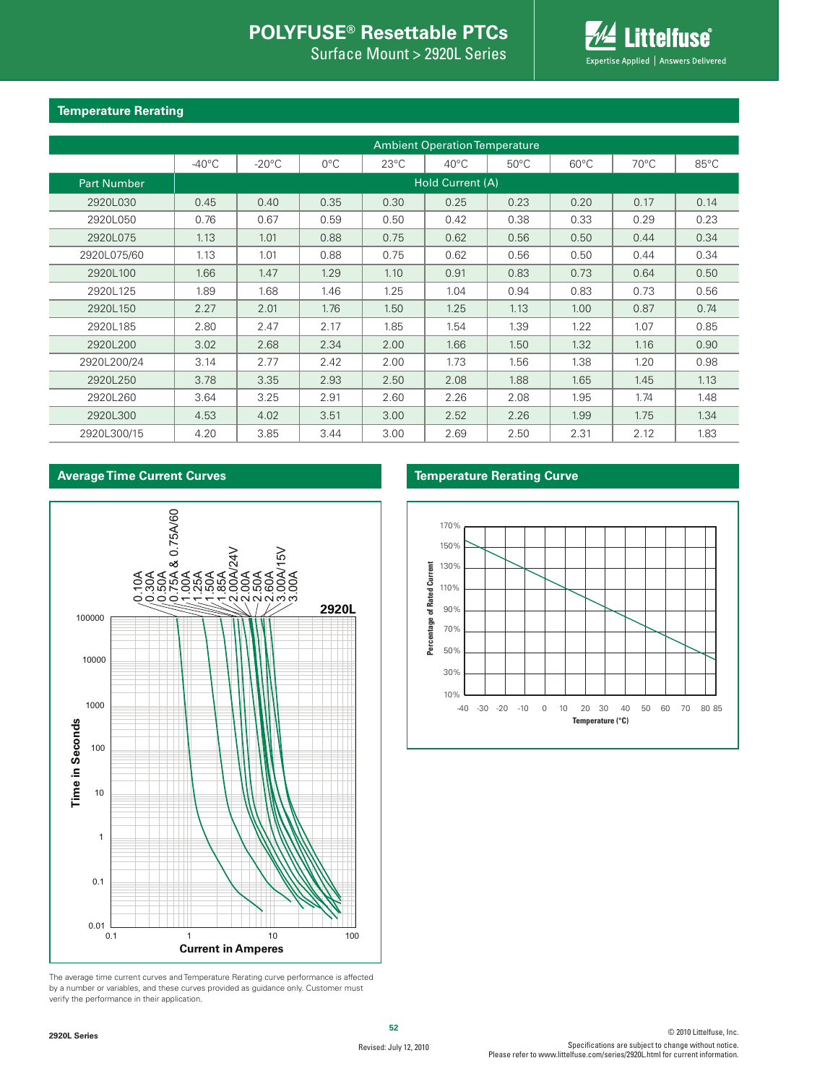Surface Mount > 2920L Series



#### **Temperature Rerating**

|                    |                  | <b>Ambient Operation Temperature</b> |               |                |                |                |                |                |      |  |  |  |  |  |
|--------------------|------------------|--------------------------------------|---------------|----------------|----------------|----------------|----------------|----------------|------|--|--|--|--|--|
|                    | $-40^{\circ}$ C  | $-20^{\circ}$ C                      | $0^{\circ}$ C | $23^{\circ}$ C | $40^{\circ}$ C | $50^{\circ}$ C | $60^{\circ}$ C | $70^{\circ}$ C | 85°C |  |  |  |  |  |
| <b>Part Number</b> | Hold Current (A) |                                      |               |                |                |                |                |                |      |  |  |  |  |  |
| 2920L030           | 0.45             | 0.40                                 | 0.35          | 0.30           | 0.25           | 0.23           | 0.20           | 0.17           | 0.14 |  |  |  |  |  |
| 2920L050           | 0.76             | 0.67                                 | 0.59          | 0.50           | 0.42           | 0.38           | 0.33           | 0.29           | 0.23 |  |  |  |  |  |
| 2920L075           | 1.13             | 1.01                                 | 0.88          | 0.75           | 0.62           | 0.56           | 0.50           | 0.44           | 0.34 |  |  |  |  |  |
| 2920L075/60        | 1.13             | 1.01                                 | 0.88          | 0.75           | 0.62           | 0.56           | 0.50           | 0.44           | 0.34 |  |  |  |  |  |
| 2920L100           | 1.66             | 1.47                                 | 1.29          | 1.10           | 0.91           | 0.83           | 0.73           | 0.64           | 0.50 |  |  |  |  |  |
| 2920L125           | 1.89             | 1.68                                 | 1.46          | 1.25           | 1.04           | 0.94           | 0.83           | 0.73           | 0.56 |  |  |  |  |  |
| 2920L150           | 2.27             | 2.01                                 | 1.76          | 1.50           | 1.25           | 1.13           | 1.00           | 0.87           | 0.74 |  |  |  |  |  |
| 2920L185           | 2.80             | 2.47                                 | 2.17          | 1.85           | 1.54           | 1.39           | 1.22           | 1.07           | 0.85 |  |  |  |  |  |
| 2920L200           | 3.02             | 2.68                                 | 2.34          | 2.00           | 1.66           | 1.50           | 1.32           | 1.16           | 0.90 |  |  |  |  |  |
| 2920L200/24        | 3.14             | 2.77                                 | 2.42          | 2.00           | 1.73           | 1.56           | 1.38           | 1.20           | 0.98 |  |  |  |  |  |
| 2920L250           | 3.78             | 3.35                                 | 2.93          | 2.50           | 2.08           | 1.88           | 1.65           | 1.45           | 1.13 |  |  |  |  |  |
| 2920L260           | 3.64             | 3.25                                 | 2.91          | 2.60           | 2.26           | 2.08           | 1.95           | 1.74           | 1.48 |  |  |  |  |  |
| 2920L300           | 4.53             | 4.02                                 | 3.51          | 3.00           | 2.52           | 2.26           | 1.99           | 1.75           | 1.34 |  |  |  |  |  |
| 2920L300/15        | 4.20             | 3.85                                 | 3.44          | 3.00           | 2.69           | 2.50           | 2.31           | 2.12           | 1.83 |  |  |  |  |  |

#### **Average Time Current Curves**



The average time current curves and Temperature Rerating curve performance is affected by a number or variables, and these curves provided as guidance only. Customer must verify the performance in their application.

#### **Temperature Rerating Curve**

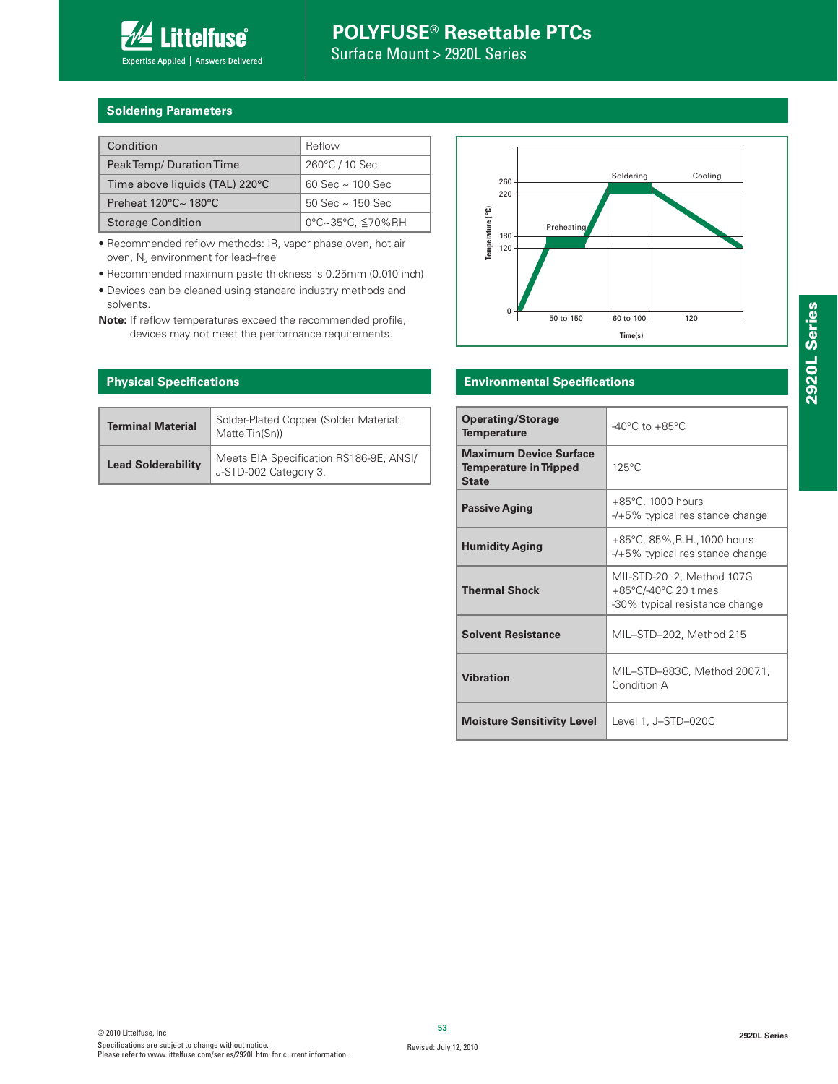

Surface Mount > 2920L Series

#### **Soldering Parameters**

| Condition                                      | Reflow                  |
|------------------------------------------------|-------------------------|
| Peak Temp/Duration Time                        | 260°C / 10 Sec          |
| Time above liquids (TAL) 220°C                 | 60 Sec $\sim$ 100 Sec   |
| Preheat $120^{\circ}$ C $\sim$ $180^{\circ}$ C | $50$ Sec $\sim$ 150 Sec |
| <b>Storage Condition</b>                       | 0°C~35°C, ≦70%RH        |

• Recommended reflow methods: IR, vapor phase oven, hot air oven,  $N_2$  environment for lead–free

• Recommended maximum paste thickness is 0.25mm (0.010 inch)

• Devices can be cleaned using standard industry methods and solvents.

**Note:** If reflow temperatures exceed the recommended profile, devices may not meet the performance requirements.

#### **Physical Specifications**

| <b>Terminal Material</b>  | Solder-Plated Copper (Solder Material:<br>Matte Tin(Sn))         |
|---------------------------|------------------------------------------------------------------|
| <b>Lead Solderability</b> | Meets EIA Specification RS186-9E, ANSI/<br>J-STD-002 Category 3. |



#### **Environmental Specifications**

| <b>Operating/Storage</b><br><b>Temperature</b>                                 | $-40^{\circ}$ C to $+85^{\circ}$ C                                                  |
|--------------------------------------------------------------------------------|-------------------------------------------------------------------------------------|
| <b>Maximum Device Surface</b><br><b>Temperature in Tripped</b><br><b>State</b> | $125^{\circ}$ C                                                                     |
| <b>Passive Aging</b>                                                           | $+85^{\circ}$ C, 1000 hours<br>$-$ /+5% typical resistance change                   |
| <b>Humidity Aging</b>                                                          | +85°C, 85%, R.H., 1000 hours<br>$-$ /+5% typical resistance change                  |
| <b>Thermal Shock</b>                                                           | MIL-STD-20 2, Method 107G<br>+85°C/-40°C 20 times<br>-30% typical resistance change |
| <b>Solvent Resistance</b>                                                      | MIL-STD-202, Method 215                                                             |
| <b>Vibration</b>                                                               | MIL-STD-883C, Method 2007.1,<br>Condition A                                         |
| <b>Moisture Sensitivity Level</b>                                              | Level 1, J-STD-020C                                                                 |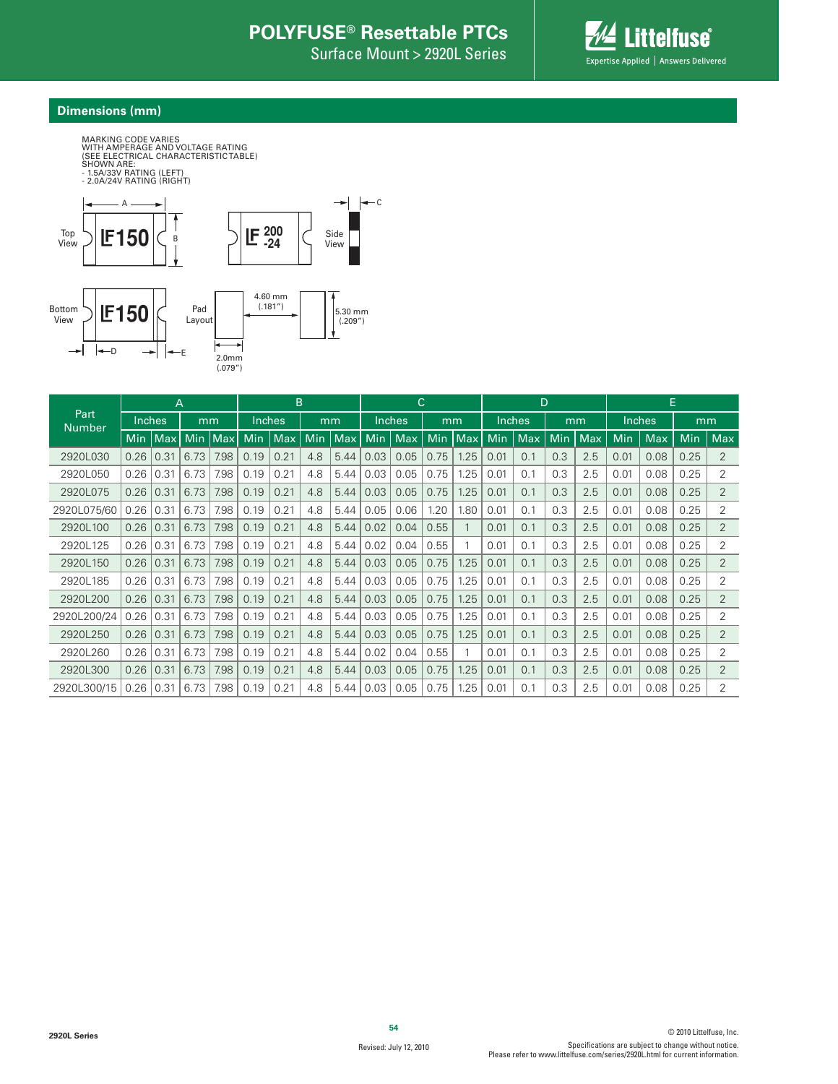Surface Mount > 2920L Series



#### **Dimensions (mm)**



|                       | A          |      |            | B          |        |      | С   |      |      | D             |            |               |            | Е      |     |            |               |      |            |                |
|-----------------------|------------|------|------------|------------|--------|------|-----|------|------|---------------|------------|---------------|------------|--------|-----|------------|---------------|------|------------|----------------|
| Part<br><b>Number</b> | Inches     |      | mm         |            | Inches |      | mm  |      |      | <b>Inches</b> |            | mm            |            | Inches |     | mm         | <b>Inches</b> |      | mm         |                |
|                       | <b>Min</b> | Max  | <b>Min</b> | <b>Max</b> | Min    | Max. | Min | Max  | Min  | <b>Max</b>    | <b>Min</b> | $\lfloor$ Max | <b>Min</b> | Max    | Min | <b>Max</b> | Min           | Max  | <b>Min</b> | Max            |
| 2920L030              | 0.26       | 0.31 | 6.73       | 7.98       | 0.19   | 0.21 | 4.8 | 5.44 | 0.03 | 0.05          | 0.75       | 1.25          | 0.01       | 0.1    | 0.3 | 2.5        | 0.01          | 0.08 | 0.25       | $\overline{2}$ |
| 2920L050              | 0.26       | 0.31 | 6.73       | 7.98       | 0.19   | 0.21 | 4.8 | 5.44 | 0.03 | 0.05          | 0.75       | 1.25          | 0.01       | 0.1    | 0.3 | 2.5        | 0.01          | 0.08 | 0.25       | 2              |
| 2920L075              | 0.26       | 0.31 | 6.73       | 7.98       | 0.19   | 0.21 | 4.8 | 5.44 | 0.03 | 0.05          | 0.75       | 1.25          | 0.01       | 0.1    | 0.3 | 2.5        | 0.01          | 0.08 | 0.25       | 2              |
| 2920L075/60           | 0.26       | 0.31 | 6.73       | 7.98       | 0.19   | 0.21 | 4.8 | 5.44 | 0.05 | 0.06          | 1.20       | 1.80          | 0.01       | 0.1    | 0.3 | 2.5        | 0.01          | 0.08 | 0.25       | 2              |
| 2920L100              | 0.26       | 0.31 | 6.73       | 7.98       | 0.19   | 0.21 | 4.8 | 5.44 | 0.02 | 0.04          | 0.55       |               | 0.01       | 0.1    | 0.3 | 2.5        | 0.01          | 0.08 | 0.25       | $\overline{2}$ |
| 2920L125              | 0.26       | 0.31 | 6.73       | 7.98       | 0.19   | 0.21 | 4.8 | 5.44 | 0.02 | 0.04          | 0.55       |               | 0.01       | 0.1    | 0.3 | 2.5        | 0.01          | 0.08 | 0.25       | 2              |
| 2920L150              | 0.26       | 0.31 | 6.73       | 7.98       | 0.19   | 0.21 | 4.8 | 5.44 | 0.03 | 0.05          | 0.75       | 1.25          | 0.01       | 0.1    | 0.3 | 2.5        | 0.01          | 0.08 | 0.25       | $\overline{2}$ |
| 2920L185              | 0.26       | 0.31 | 6.73       | 7.98       | 0.19   | 0.21 | 4.8 | 5.44 | 0.03 | 0.05          | 0.75       | 1.25          | 0.01       | 0.1    | 0.3 | 2.5        | 0.01          | 0.08 | 0.25       | 2              |
| 2920L200              | 0.26       | 0.31 | 6.73       | 7.98       | 0.19   | 0.21 | 4.8 | 5.44 | 0.03 | 0.05          | 0.75       | 1.25          | 0.01       | 0.1    | 0.3 | 2.5        | 0.01          | 0.08 | 0.25       | 2              |
| 2920L200/24           | 0.26       | 0.31 | 6.73       | 7.98       | 0.19   | 0.21 | 4.8 | 5.44 | 0.03 | 0.05          | 0.75       | .25           | 0.01       | 0.1    | 0.3 | 2.5        | 0.01          | 0.08 | 0.25       | 2              |
| 2920L250              | 0.26       | 0.31 | 6.73       | 7.98       | 0.19   | 0.21 | 4.8 | 5.44 | 0.03 | 0.05          | 0.75       | 1.25          | 0.01       | 0.1    | 0.3 | 2.5        | 0.01          | 0.08 | 0.25       | $\overline{2}$ |
| 2920L260              | 0.26       | 0.31 | 6.73       | 7.98       | 0.19   | 0.21 | 4.8 | 5.44 | 0.02 | 0.04          | 0.55       |               | 0.01       | 0.1    | 0.3 | 2.5        | 0.01          | 0.08 | 0.25       | 2              |
| 2920L300              | 0.26       | 0.31 | 6.73       | 7.98       | 0.19   | 0.21 | 4.8 | 5.44 | 0.03 | 0.05          | 0.75       | 1.25          | 0.01       | 0.1    | 0.3 | 2.5        | 0.01          | 0.08 | 0.25       | $\overline{2}$ |
| 2920L300/15           | 0.26       | 0.31 | 6.73       | 7.98       | 0.19   | 0.21 | 4.8 | 5.44 | 0.03 | 0.05          | 0.75       | 1.25          | 0.01       | 0.1    | 0.3 | 2.5        | 0.01          | 0.08 | 0.25       | 2              |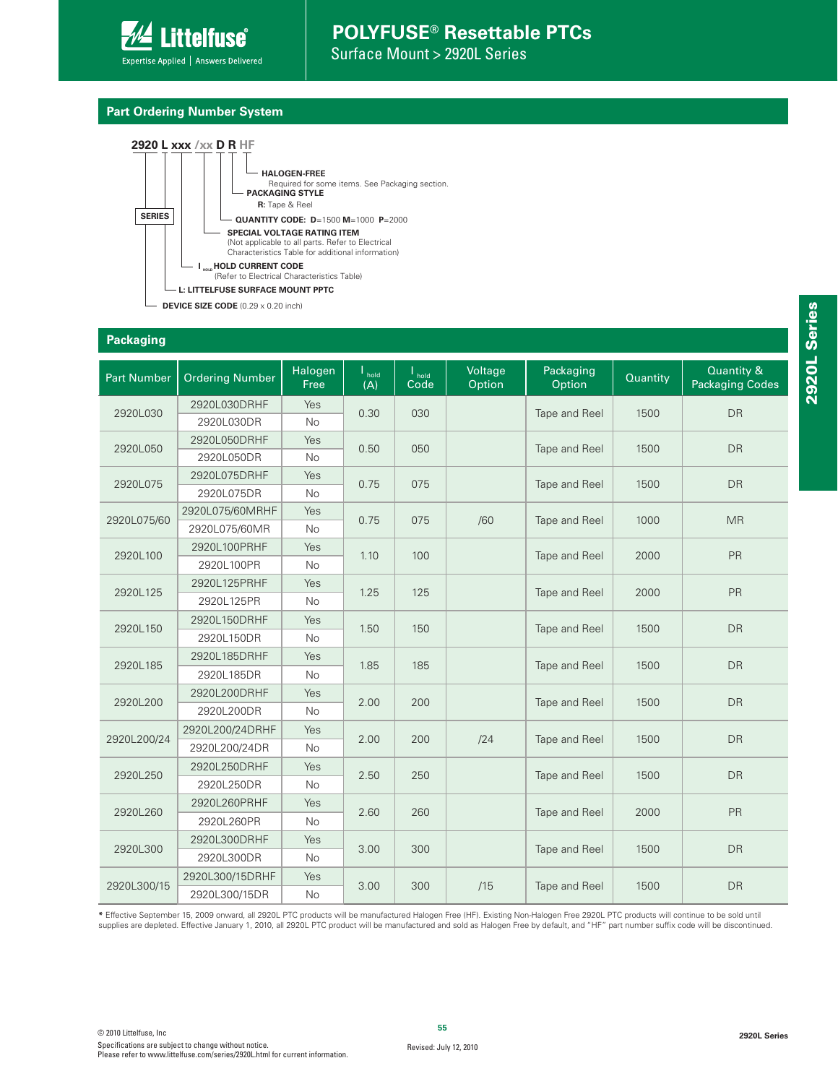

Surface Mount > 2920L Series

#### **Part Ordering Number System**



**Packaging**

| <b>Part Number</b> | <b>Ordering Number</b> | Halogen<br>Free | $\mathsf{I}_{\mathsf{hold}}$<br>(A) | $\mathsf{I}_{\mathsf{hold}}$<br>$\overline{Code}$ | Voltage<br>Option | Packaging<br>Option   | Quantity | Quantity &<br><b>Packaging Codes</b> |  |
|--------------------|------------------------|-----------------|-------------------------------------|---------------------------------------------------|-------------------|-----------------------|----------|--------------------------------------|--|
|                    | 2920L030DRHF           | Yes             |                                     |                                                   |                   |                       |          |                                      |  |
| 2920L030           | 2920L030DR             | No              | 0.30                                | 030                                               |                   | Tape and Reel         | 1500     | <b>DR</b>                            |  |
| 2920L050           | 2920L050DRHF           | Yes             | 0.50                                | 050                                               |                   |                       | 1500     | <b>DR</b>                            |  |
|                    | 2920L050DR             | No              |                                     |                                                   |                   | Tape and Reel         |          |                                      |  |
| 2920L075           | 2920L075DRHF           | Yes             | 0.75                                | 075                                               |                   | Tape and Reel         | 1500     | <b>DR</b>                            |  |
|                    | 2920L075DR             | No              |                                     |                                                   |                   |                       |          |                                      |  |
| 2920L075/60        | 2920L075/60MRHF        | Yes             | 0.75                                | 075                                               | /60               | Tape and Reel         | 1000     | <b>MR</b>                            |  |
|                    | 2920L075/60MR          | <b>No</b>       |                                     |                                                   |                   |                       |          |                                      |  |
| 2920L100           | 2920L100PRHF           | Yes             | 1.10                                | 100                                               |                   | Tape and Reel         | 2000     | PR                                   |  |
|                    | 2920L100PR             | No              |                                     |                                                   |                   |                       |          |                                      |  |
| 2920L125           | 2920L125PRHF           | Yes             | 1.25                                | 125                                               |                   | Tape and Reel         | 2000     | <b>PR</b>                            |  |
|                    | 2920L125PR             | <b>No</b>       |                                     |                                                   |                   |                       |          |                                      |  |
| 2920L150           | 2920L150DRHF           | Yes             | 1.50                                | 150                                               |                   | Tape and Reel         | 1500     | <b>DR</b>                            |  |
|                    | 2920L150DR             | No              |                                     |                                                   |                   |                       |          |                                      |  |
|                    | 2920L185DRHF           | Yes             |                                     |                                                   |                   |                       |          |                                      |  |
| 2920L185           | 2920L185DR             | <b>No</b>       | 1.85                                | 185                                               |                   | Tape and Reel<br>1500 |          | <b>DR</b>                            |  |
|                    | 2920L200DRHF           | Yes             |                                     |                                                   |                   |                       |          | <b>DR</b>                            |  |
| 2920L200           | 2920L200DR             | <b>No</b>       | 2.00                                | 200                                               |                   | Tape and Reel         | 1500     |                                      |  |
|                    | 2920L200/24DRHF        | Yes             |                                     |                                                   |                   |                       |          |                                      |  |
| 2920L200/24        | 2920L200/24DR          | No              | 2.00                                | 200                                               | /24               | Tape and Reel         | 1500     | <b>DR</b>                            |  |
|                    | 2920L250DRHF           | Yes             |                                     |                                                   |                   |                       |          |                                      |  |
| 2920L250           | 2920L250DR             | No              | 2.50                                | 250                                               |                   | Tape and Reel         | 1500     | <b>DR</b>                            |  |
|                    | 2920L260PRHF           | Yes             |                                     |                                                   |                   |                       |          |                                      |  |
| 2920L260           | 2920L260PR             | <b>No</b>       | 2.60                                | 260                                               |                   | Tape and Reel         | 2000     | PR                                   |  |
|                    | 2920L300DRHF           | Yes             |                                     |                                                   |                   |                       |          |                                      |  |
| 2920L300           | 2920L300DR             | No              | 3.00                                | 300                                               |                   | Tape and Reel         | 1500     | <b>DR</b>                            |  |
|                    | 2920L300/15DRHF        | Yes             |                                     |                                                   |                   |                       |          |                                      |  |
| 2920L300/15        | 2920L300/15DR          | <b>No</b>       | 3.00                                | 300                                               | /15               | Tape and Reel         | 1500     | <b>DR</b>                            |  |

**\*** Effective September 15, 2009 onward, all 2920L PTC products will be manufactured Halogen Free (HF). Existing Non-Halogen Free 2920L PTC products will continue to be sold until supplies are depleted. Effective January 1, 2010, all 2920L PTC product will be manufactured and sold as Halogen Free by default, and "HF" part number suffix code will be discontinued.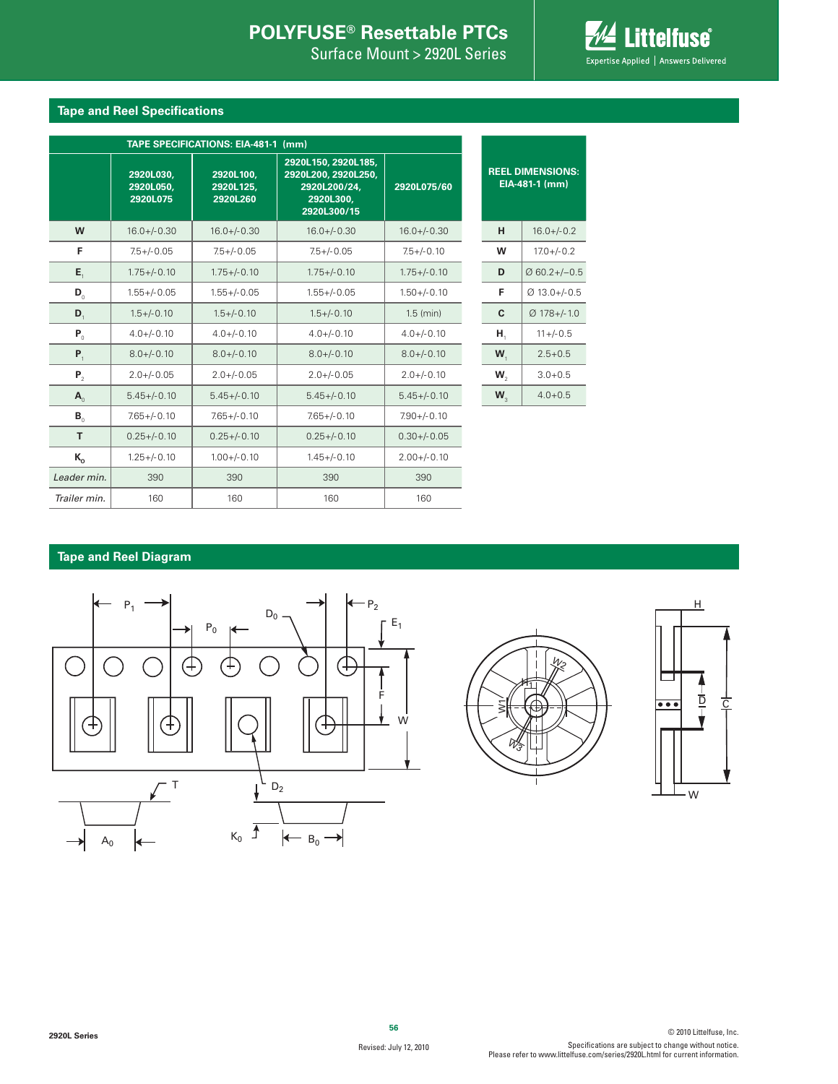Surface Mount > 2920L Series



#### **Tape and Reel Specifications**

|                       | TAPE SPECIFICATIONS: EIA-481-1 (mm) |                                    |                                                                                        |                  |         |                                           |
|-----------------------|-------------------------------------|------------------------------------|----------------------------------------------------------------------------------------|------------------|---------|-------------------------------------------|
|                       | 2920L030.<br>2920L050,<br>2920L075  | 2920L100,<br>2920L125,<br>2920L260 | 2920L150, 2920L185,<br>2920L200, 2920L250,<br>2920L200/24.<br>2920L300,<br>2920L300/15 | 2920L075/60      |         | <b>REEL DIMENSIONS:</b><br>EIA-481-1 (mm) |
| W                     | $16.0 + / -0.30$                    | $16.0 + / -0.30$                   | $16.0 +/- 0.30$                                                                        | $16.0 +/- 0.30$  | H       | $16.0 +/- 0.2$                            |
| F                     | $7.5 + / -0.05$                     | $7.5 + / -0.05$                    | $7.5 + / -0.05$                                                                        | $7.5 +/- 0.10$   | W       | $17.0 + (-0.2)$                           |
| $E_{\rm t}$           | $1.75 + (-0.10)$                    | $1.75 + (-0.10)$                   | $1.75 + (-0.10)$                                                                       | $1.75 + (-0.10)$ | D       | $Ø$ 60.2+/-0.5                            |
| $\mathbf{D}_{\alpha}$ | $1.55 + -0.05$                      | $1.55 + / -0.05$                   | $1.55 + / -0.05$                                                                       | $1.50 +/-0.10$   | F       | $Ø$ 13.0+/-0.5                            |
| $\mathbf{D}_{1}$      | $1.5 + / -0.10$                     | $1.5 + / -0.10$                    | $1.5 + (-0.10)$                                                                        | $1.5$ (min)      | C       | $Ø$ 178+/-1.0                             |
| $P_0$                 | $4.0 + (-0.10)$                     | $4.0 + (-0.10)$                    | $4.0 + / -0.10$                                                                        | $4.0 + (-0.10)$  | Н,      | $11 + (-0.5)$                             |
| $P_{1}$               | $8.0 + / -0.10$                     | $8.0 + / -0.10$                    | $8.0 + / -0.10$                                                                        | $8.0 + / -0.10$  | $W_{1}$ | $2.5 + 0.5$                               |
| P <sub>2</sub>        | $2.0 + / -0.05$                     | $2.0 + / -0.05$                    | $2.0 + / -0.05$                                                                        | $2.0 +/- 0.10$   | $W_{2}$ | $3.0 + 0.5$                               |
| $\mathbf{A}_{\alpha}$ | $5.45 + (-0.10)$                    | $5.45 + (-0.10)$                   | $5.45 + (-0.10)$                                                                       | $5.45 + (-0.10)$ | $W_{3}$ | $4.0 + 0.5$                               |
| $B_{\alpha}$          | $7.65 + / -0.10$                    | $7.65 + (-0.10)$                   | $7.65 + -0.10$                                                                         | $7.90 + (-0.10)$ |         |                                           |
| T                     | $0.25 + (-0.10)$                    | $0.25 + -0.10$                     | $0.25 + -0.10$                                                                         | $0.30 + / -0.05$ |         |                                           |
| $K_{o}$               | $1.25 + / -0.10$                    | $1.00 + (-0.10)$                   | $1.45 + (-0.10)$                                                                       | $2.00 +/- 0.10$  |         |                                           |
| Leader min.           | 390                                 | 390                                | 390                                                                                    | 390              |         |                                           |
| Trailer min.          | 160                                 | 160                                | 160                                                                                    | 160              |         |                                           |

#### **Tape and Reel Diagram**